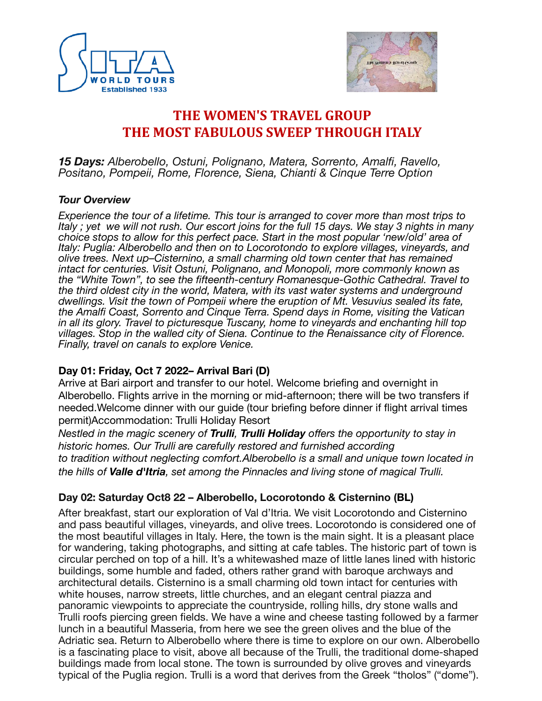



# **THE WOMEN'S TRAVEL GROUP THE MOST FABULOUS SWEEP THROUGH ITALY**

*15 Days: Alberobello, Ostuni, Polignano, Matera, Sorrento, Amalfi, Ravello, Positano, Pompeii, Rome, Florence, Siena, Chianti & Cinque Terre Option* 

#### *Tour Overview*

*Experience the tour of a lifetime. This tour is arranged to cover more than most trips to Italy ; yet we will not rush. Our escort joins for the full 15 days. We stay 3 nights in many choice stops to allow for this perfect pace. Start in the most popular 'new/old' area of Italy: Puglia: Alberobello and then on to Locorotondo to explore villages, vineyards, and olive trees. Next up–Cisternino, a small charming old town center that has remained intact for centuries. Visit Ostuni, Polignano, and Monopoli, more commonly known as the "White Town", to see the fifteenth-century Romanesque-Gothic Cathedral. Travel to the third oldest city in the world, Matera, with its vast water systems and underground dwellings. Visit the town of Pompeii where the eruption of Mt. Vesuvius sealed its fate, the Amalfi Coast, Sorrento and Cinque Terra. Spend days in Rome, visiting the Vatican in all its glory. Travel to picturesque Tuscany, home to vineyards and enchanting hill top villages. Stop in the walled city of Siena. Continue to the Renaissance city of Florence. Finally, travel on canals to explore Venice.* 

#### **Day 01: Friday, Oct 7 2022– Arrival Bari (D)**

Arrive at Bari airport and transfer to our hotel. Welcome briefing and overnight in Alberobello. Flights arrive in the morning or mid-afternoon; there will be two transfers if needed.Welcome dinner with our guide (tour briefing before dinner if flight arrival times permit)Accommodation: Trulli Holiday Resort

*Nestled in the magic scenery of Trulli, Trulli Holiday offers the opportunity to stay in historic homes. Our Trulli are carefully restored and furnished according to tradition without neglecting comfort.Alberobello is a small and unique town located in the hills of Valle d'Itria, set among the Pinnacles and living stone of magical Trulli.* 

### **Day 02: Saturday Oct8 22 – Alberobello, Locorotondo & Cisternino (BL)**

After breakfast, start our exploration of Val d'Itria. We visit Locorotondo and Cisternino and pass beautiful villages, vineyards, and olive trees. Locorotondo is considered one of the most beautiful villages in Italy. Here, the town is the main sight. It is a pleasant place for wandering, taking photographs, and sitting at cafe tables. The historic part of town is circular perched on top of a hill. It's a whitewashed maze of little lanes lined with historic buildings, some humble and faded, others rather grand with baroque archways and architectural details. Cisternino is a small charming old town intact for centuries with white houses, narrow streets, little churches, and an elegant central piazza and panoramic viewpoints to appreciate the countryside, rolling hills, dry stone walls and Trulli roofs piercing green fields. We have a wine and cheese tasting followed by a farmer lunch in a beautiful Masseria, from here we see the green olives and the blue of the Adriatic sea. Return to Alberobello where there is time to explore on our own. Alberobello is a fascinating place to visit, above all because of the Trulli, the traditional dome-shaped buildings made from local stone. The town is surrounded by olive groves and vineyards typical of the Puglia region. Trulli is a word that derives from the Greek "tholos" ("dome").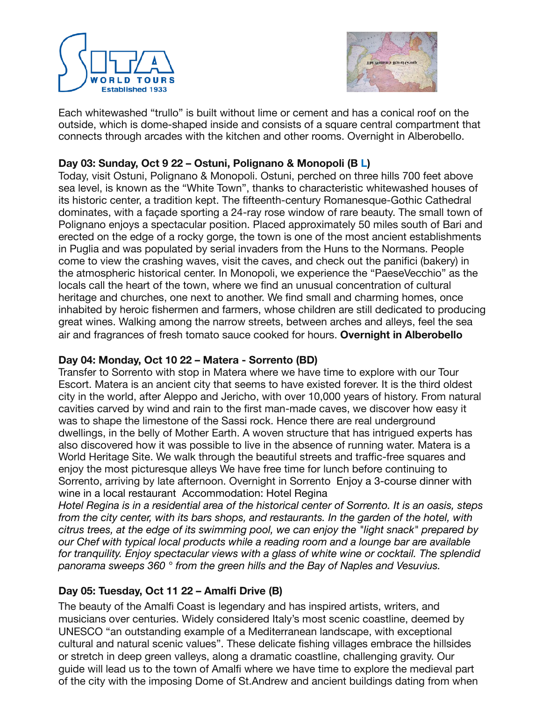



Each whitewashed "trullo" is built without lime or cement and has a conical roof on the outside, which is dome-shaped inside and consists of a square central compartment that connects through arcades with the kitchen and other rooms. Overnight in Alberobello.

## **Day 03: Sunday, Oct 9 22 – Ostuni, Polignano & Monopoli (B L)**

Today, visit Ostuni, Polignano & Monopoli. Ostuni, perched on three hills 700 feet above sea level, is known as the "White Town", thanks to characteristic whitewashed houses of its historic center, a tradition kept. The fifteenth-century Romanesque-Gothic Cathedral dominates, with a façade sporting a 24-ray rose window of rare beauty. The small town of Polignano enjoys a spectacular position. Placed approximately 50 miles south of Bari and erected on the edge of a rocky gorge, the town is one of the most ancient establishments in Puglia and was populated by serial invaders from the Huns to the Normans. People come to view the crashing waves, visit the caves, and check out the panifici (bakery) in the atmospheric historical center. In Monopoli, we experience the "PaeseVecchio" as the locals call the heart of the town, where we find an unusual concentration of cultural heritage and churches, one next to another. We find small and charming homes, once inhabited by heroic fishermen and farmers, whose children are still dedicated to producing great wines. Walking among the narrow streets, between arches and alleys, feel the sea air and fragrances of fresh tomato sauce cooked for hours. **Overnight in Alberobello**

### **Day 04: Monday, Oct 10 22 – Matera - Sorrento (BD)**

Transfer to Sorrento with stop in Matera where we have time to explore with our Tour Escort. Matera is an ancient city that seems to have existed forever. It is the third oldest city in the world, after Aleppo and Jericho, with over 10,000 years of history. From natural cavities carved by wind and rain to the first man-made caves, we discover how easy it was to shape the limestone of the Sassi rock. Hence there are real underground dwellings, in the belly of Mother Earth. A woven structure that has intrigued experts has also discovered how it was possible to live in the absence of running water. Matera is a World Heritage Site. We walk through the beautiful streets and traffic-free squares and enjoy the most picturesque alleys We have free time for lunch before continuing to Sorrento, arriving by late afternoon. Overnight in Sorrento Enjoy a 3-course dinner with wine in a local restaurant Accommodation: Hotel Regina

*Hotel Regina is in a residential area of the historical center of Sorrento. It is an oasis, steps from the city center, with its bars shops, and restaurants. In the garden of the hotel, with citrus trees, at the edge of its swimming pool, we can enjoy the "light snack" prepared by our Chef with typical local products while a reading room and a lounge bar are available for tranquility. Enjoy spectacular views with a glass of white wine or cocktail. The splendid panorama sweeps 360 ° from the green hills and the Bay of Naples and Vesuvius.*

# **Day 05: Tuesday, Oct 11 22 – Amalfi Drive (B)**

The beauty of the Amalfi Coast is legendary and has inspired artists, writers, and musicians over centuries. Widely considered Italy's most scenic coastline, deemed by UNESCO "an outstanding example of a Mediterranean landscape, with exceptional cultural and natural scenic values". These delicate fishing villages embrace the hillsides or stretch in deep green valleys, along a dramatic coastline, challenging gravity. Our guide will lead us to the town of Amalfi where we have time to explore the medieval part of the city with the imposing Dome of St.Andrew and ancient buildings dating from when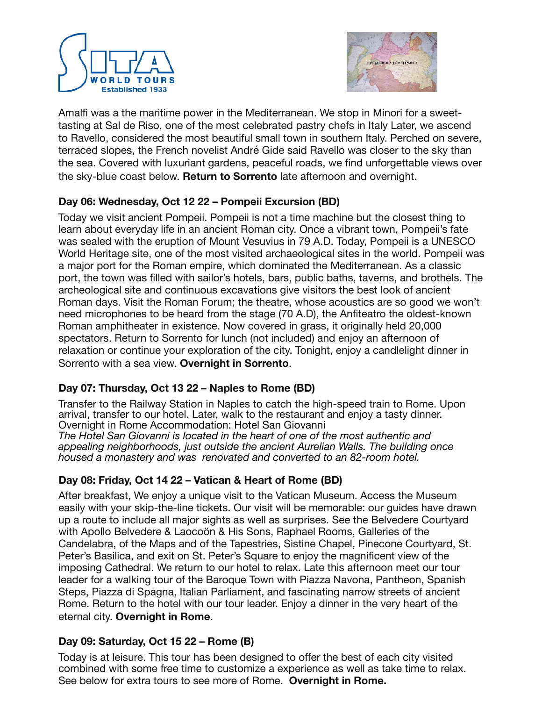



Amalfi was a the maritime power in the Mediterranean. We stop in Minori for a sweettasting at Sal de Riso, one of the most celebrated pastry chefs in Italy Later, we ascend to Ravello, considered the most beautiful small town in southern Italy. Perched on severe, terraced slopes, the French novelist André Gide said Ravello was closer to the sky than the sea. Covered with luxuriant gardens, peaceful roads, we find unforgettable views over the sky-blue coast below. **Return to Sorrento** late afternoon and overnight.

## **Day 06: Wednesday, Oct 12 22 – Pompeii Excursion (BD)**

Today we visit ancient Pompeii. Pompeii is not a time machine but the closest thing to learn about everyday life in an ancient Roman city. Once a vibrant town, Pompeii's fate was sealed with the eruption of Mount Vesuvius in 79 A.D. Today, Pompeii is a UNESCO World Heritage site, one of the most visited archaeological sites in the world. Pompeii was a major port for the Roman empire, which dominated the Mediterranean. As a classic port, the town was filled with sailor's hotels, bars, public baths, taverns, and brothels. The archeological site and continuous excavations give visitors the best look of ancient Roman days. Visit the Roman Forum; the theatre, whose acoustics are so good we won't need microphones to be heard from the stage (70 A.D), the Anfiteatro the oldest-known Roman amphitheater in existence. Now covered in grass, it originally held 20,000 spectators. Return to Sorrento for lunch (not included) and enjoy an afternoon of relaxation or continue your exploration of the city. Tonight, enjoy a candlelight dinner in Sorrento with a sea view. **Overnight in Sorrento**.

# **Day 07: Thursday, Oct 13 22 – Naples to Rome (BD)**

Transfer to the Railway Station in Naples to catch the high-speed train to Rome. Upon arrival, transfer to our hotel. Later, walk to the restaurant and enjoy a tasty dinner. Overnight in Rome Accommodation: Hotel San Giovanni *The Hotel San Giovanni is located in the heart of one of the most authentic and appealing neighborhoods, just outside the ancient Aurelian Walls. The building once housed a monastery and was renovated and converted to an 82-room hotel.* 

# **Day 08: Friday, Oct 14 22 – Vatican & Heart of Rome (BD)**

After breakfast, We enjoy a unique visit to the Vatican Museum. Access the Museum easily with your skip-the-line tickets. Our visit will be memorable: our guides have drawn up a route to include all major sights as well as surprises. See the Belvedere Courtyard with Apollo Belvedere & Laocoön & His Sons, Raphael Rooms, Galleries of the Candelabra, of the Maps and of the Tapestries, Sistine Chapel, Pinecone Courtyard, St. Peter's Basilica, and exit on St. Peter's Square to enjoy the magnificent view of the imposing Cathedral. We return to our hotel to relax. Late this afternoon meet our tour leader for a walking tour of the Baroque Town with Piazza Navona, Pantheon, Spanish Steps, Piazza di Spagna, Italian Parliament, and fascinating narrow streets of ancient Rome. Return to the hotel with our tour leader. Enjoy a dinner in the very heart of the eternal city. **Overnight in Rome**.

# **Day 09: Saturday, Oct 15 22 – Rome (B)**

Today is at leisure. This tour has been designed to offer the best of each city visited combined with some free time to customize a experience as well as take time to relax. See below for extra tours to see more of Rome. **Overnight in Rome.**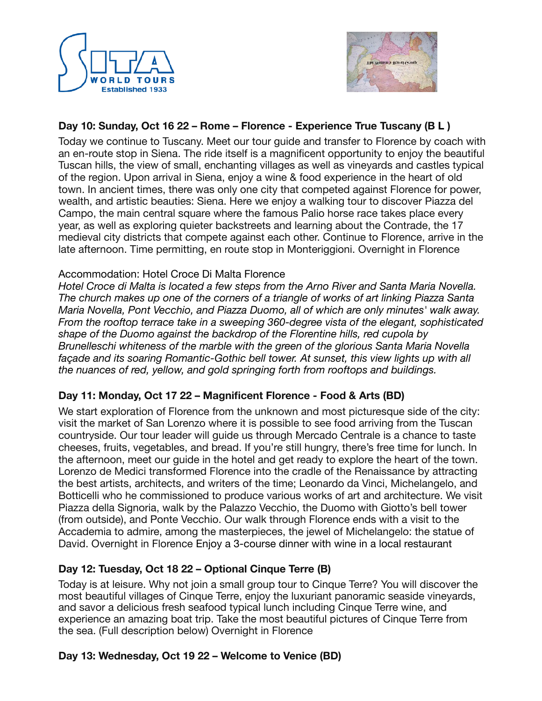



# **Day 10: Sunday, Oct 16 22 – Rome – Florence - Experience True Tuscany (B L )**

Today we continue to Tuscany. Meet our tour guide and transfer to Florence by coach with an en-route stop in Siena. The ride itself is a magnificent opportunity to enjoy the beautiful Tuscan hills, the view of small, enchanting villages as well as vineyards and castles typical of the region. Upon arrival in Siena, enjoy a wine & food experience in the heart of old town. In ancient times, there was only one city that competed against Florence for power, wealth, and artistic beauties: Siena. Here we enjoy a walking tour to discover Piazza del Campo, the main central square where the famous Palio horse race takes place every year, as well as exploring quieter backstreets and learning about the Contrade, the 17 medieval city districts that compete against each other. Continue to Florence, arrive in the late afternoon. Time permitting, en route stop in Monteriggioni. Overnight in Florence

#### Accommodation: Hotel Croce Di Malta Florence

*Hotel Croce di Malta is located a few steps from the Arno River and Santa Maria Novella. The church makes up one of the corners of a triangle of works of art linking Piazza Santa Maria Novella, Pont Vecchio, and Piazza Duomo, all of which are only minutes' walk away. From the rooftop terrace take in a sweeping 360-degree vista of the elegant, sophisticated shape of the Duomo against the backdrop of the Florentine hills, red cupola by Brunelleschi whiteness of the marble with the green of the glorious Santa Maria Novella façade and its soaring Romantic-Gothic bell tower. At sunset, this view lights up with all the nuances of red, yellow, and gold springing forth from rooftops and buildings.* 

### **Day 11: Monday, Oct 17 22 – Magnificent Florence - Food & Arts (BD)**

We start exploration of Florence from the unknown and most picturesque side of the city: visit the market of San Lorenzo where it is possible to see food arriving from the Tuscan countryside. Our tour leader will guide us through Mercado Centrale is a chance to taste cheeses, fruits, vegetables, and bread. If you're still hungry, there's free time for lunch. In the afternoon, meet our guide in the hotel and get ready to explore the heart of the town. Lorenzo de Medici transformed Florence into the cradle of the Renaissance by attracting the best artists, architects, and writers of the time; Leonardo da Vinci, Michelangelo, and Botticelli who he commissioned to produce various works of art and architecture. We visit Piazza della Signoria, walk by the Palazzo Vecchio, the Duomo with Giotto's bell tower (from outside), and Ponte Vecchio. Our walk through Florence ends with a visit to the Accademia to admire, among the masterpieces, the jewel of Michelangelo: the statue of David. Overnight in Florence Enjoy a 3-course dinner with wine in a local restaurant

### **Day 12: Tuesday, Oct 18 22 – Optional Cinque Terre (B)**

Today is at leisure. Why not join a small group tour to Cinque Terre? You will discover the most beautiful villages of Cinque Terre, enjoy the luxuriant panoramic seaside vineyards, and savor a delicious fresh seafood typical lunch including Cinque Terre wine, and experience an amazing boat trip. Take the most beautiful pictures of Cinque Terre from the sea. (Full description below) Overnight in Florence

### **Day 13: Wednesday, Oct 19 22 – Welcome to Venice (BD)**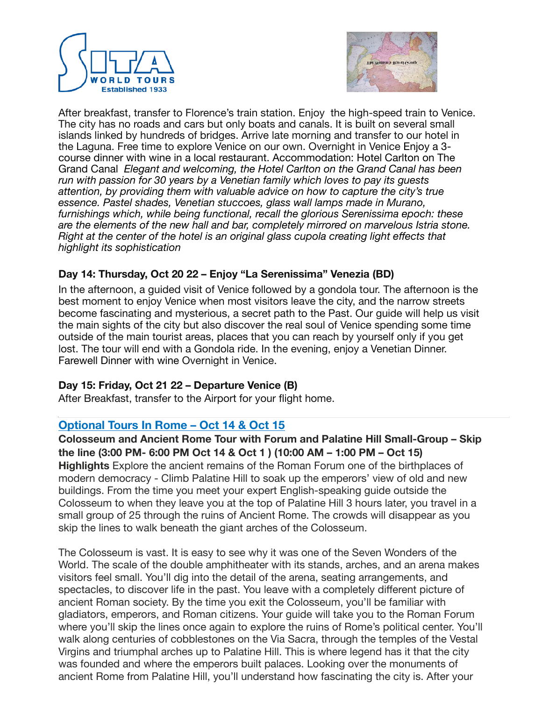



After breakfast, transfer to Florence's train station. Enjoy the high-speed train to Venice. The city has no roads and cars but only boats and canals. It is built on several small islands linked by hundreds of bridges. Arrive late morning and transfer to our hotel in the Laguna. Free time to explore Venice on our own. Overnight in Venice Enjoy a 3 course dinner with wine in a local restaurant. Accommodation: Hotel Carlton on The Grand Canal *Elegant and welcoming, the Hotel Carlton on the Grand Canal has been run with passion for 30 years by a Venetian family which loves to pay its guests attention, by providing them with valuable advice on how to capture the city's true essence. Pastel shades, Venetian stuccoes, glass wall lamps made in Murano, furnishings which, while being functional, recall the glorious Serenissima epoch: these are the elements of the new hall and bar, completely mirrored on marvelous Istria stone. Right at the center of the hotel is an original glass cupola creating light effects that highlight its sophistication*

### **Day 14: Thursday, Oct 20 22 – Enjoy "La Serenissima" Venezia (BD)**

In the afternoon, a guided visit of Venice followed by a gondola tour. The afternoon is the best moment to enjoy Venice when most visitors leave the city, and the narrow streets become fascinating and mysterious, a secret path to the Past. Our guide will help us visit the main sights of the city but also discover the real soul of Venice spending some time outside of the main tourist areas, places that you can reach by yourself only if you get lost. The tour will end with a Gondola ride. In the evening, enjoy a Venetian Dinner. Farewell Dinner with wine Overnight in Venice.

### **Day 15: Friday, Oct 21 22 – Departure Venice (B)**

After Breakfast, transfer to the Airport for your flight home.

### **Optional Tours In Rome – Oct 14 & Oct 15**

**Colosseum and Ancient Rome Tour with Forum and Palatine Hill Small-Group – Skip the line (3:00 PM- 6:00 PM Oct 14 & Oct 1 ) (10:00 AM – 1:00 PM – Oct 15) Highlights** Explore the ancient remains of the Roman Forum one of the birthplaces of modern democracy - Climb Palatine Hill to soak up the emperors' view of old and new buildings. From the time you meet your expert English-speaking guide outside the Colosseum to when they leave you at the top of Palatine Hill 3 hours later, you travel in a small group of 25 through the ruins of Ancient Rome. The crowds will disappear as you skip the lines to walk beneath the giant arches of the Colosseum.

The Colosseum is vast. It is easy to see why it was one of the Seven Wonders of the World. The scale of the double amphitheater with its stands, arches, and an arena makes visitors feel small. You'll dig into the detail of the arena, seating arrangements, and spectacles, to discover life in the past. You leave with a completely different picture of ancient Roman society. By the time you exit the Colosseum, you'll be familiar with gladiators, emperors, and Roman citizens. Your guide will take you to the Roman Forum where you'll skip the lines once again to explore the ruins of Rome's political center. You'll walk along centuries of cobblestones on the Via Sacra, through the temples of the Vestal Virgins and triumphal arches up to Palatine Hill. This is where legend has it that the city was founded and where the emperors built palaces. Looking over the monuments of ancient Rome from Palatine Hill, you'll understand how fascinating the city is. After your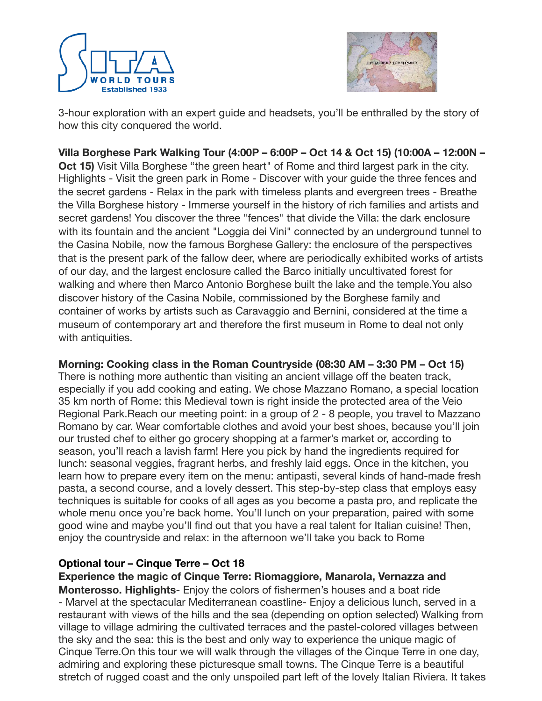



3-hour exploration with an expert guide and headsets, you'll be enthralled by the story of how this city conquered the world.

**Villa Borghese Park Walking Tour (4:00P – 6:00P – Oct 14 & Oct 15) (10:00A – 12:00N – Oct 15)** Visit Villa Borghese "the green heart" of Rome and third largest park in the city. Highlights - Visit the green park in Rome - Discover with your guide the three fences and the secret gardens - Relax in the park with timeless plants and evergreen trees - Breathe the Villa Borghese history - Immerse yourself in the history of rich families and artists and secret gardens! You discover the three "fences" that divide the Villa: the dark enclosure with its fountain and the ancient "Loggia dei Vini" connected by an underground tunnel to the Casina Nobile, now the famous Borghese Gallery: the enclosure of the perspectives that is the present park of the fallow deer, where are periodically exhibited works of artists of our day, and the largest enclosure called the Barco initially uncultivated forest for walking and where then Marco Antonio Borghese built the lake and the temple.You also discover history of the Casina Nobile, commissioned by the Borghese family and container of works by artists such as Caravaggio and Bernini, considered at the time a museum of contemporary art and therefore the first museum in Rome to deal not only with antiquities.

**Morning: Cooking class in the Roman Countryside (08:30 AM – 3:30 PM – Oct 15)** 

There is nothing more authentic than visiting an ancient village off the beaten track, especially if you add cooking and eating. We chose Mazzano Romano, a special location 35 km north of Rome: this Medieval town is right inside the protected area of the Veio Regional Park.Reach our meeting point: in a group of 2 - 8 people, you travel to Mazzano Romano by car. Wear comfortable clothes and avoid your best shoes, because you'll join our trusted chef to either go grocery shopping at a farmer's market or, according to season, you'll reach a lavish farm! Here you pick by hand the ingredients required for lunch: seasonal veggies, fragrant herbs, and freshly laid eggs. Once in the kitchen, you learn how to prepare every item on the menu: antipasti, several kinds of hand-made fresh pasta, a second course, and a lovely dessert. This step-by-step class that employs easy techniques is suitable for cooks of all ages as you become a pasta pro, and replicate the whole menu once you're back home. You'll lunch on your preparation, paired with some good wine and maybe you'll find out that you have a real talent for Italian cuisine! Then, enjoy the countryside and relax: in the afternoon we'll take you back to Rome

### **Optional tour – Cinque Terre – Oct 18**

**Experience the magic of Cinque Terre: Riomaggiore, Manarola, Vernazza and Monterosso. Highlights**- Enjoy the colors of fishermen's houses and a boat ride - Marvel at the spectacular Mediterranean coastline- Enjoy a delicious lunch, served in a restaurant with views of the hills and the sea (depending on option selected) Walking from village to village admiring the cultivated terraces and the pastel-colored villages between the sky and the sea: this is the best and only way to experience the unique magic of Cinque Terre.On this tour we will walk through the villages of the Cinque Terre in one day, admiring and exploring these picturesque small towns. The Cinque Terre is a beautiful stretch of rugged coast and the only unspoiled part left of the lovely Italian Riviera. It takes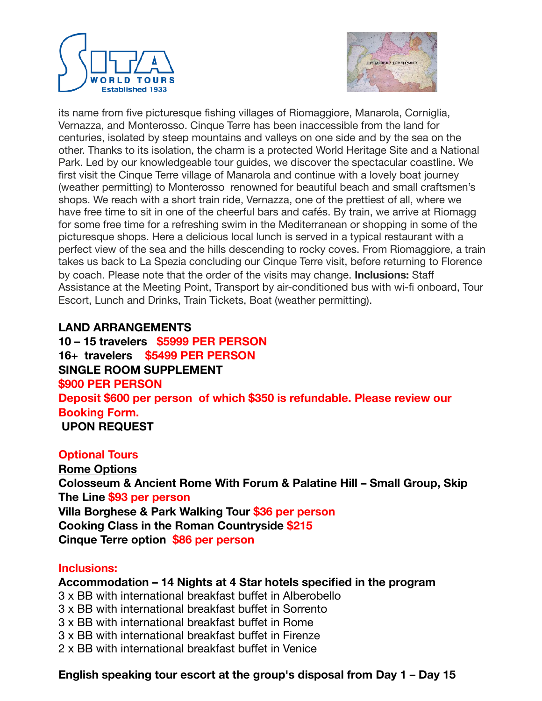



its name from five picturesque fishing villages of Riomaggiore, Manarola, Corniglia, Vernazza, and Monterosso. Cinque Terre has been inaccessible from the land for centuries, isolated by steep mountains and valleys on one side and by the sea on the other. Thanks to its isolation, the charm is a protected World Heritage Site and a National Park. Led by our knowledgeable tour guides, we discover the spectacular coastline. We first visit the Cinque Terre village of Manarola and continue with a lovely boat journey (weather permitting) to Monterosso renowned for beautiful beach and small craftsmen's shops. We reach with a short train ride, Vernazza, one of the prettiest of all, where we have free time to sit in one of the cheerful bars and cafés. By train, we arrive at Riomagg for some free time for a refreshing swim in the Mediterranean or shopping in some of the picturesque shops. Here a delicious local lunch is served in a typical restaurant with a perfect view of the sea and the hills descending to rocky coves. From Riomaggiore, a train takes us back to La Spezia concluding our Cinque Terre visit, before returning to Florence by coach. Please note that the order of the visits may change. **Inclusions:** Staff Assistance at the Meeting Point, Transport by air-conditioned bus with wi-fi onboard, Tour Escort, Lunch and Drinks, Train Tickets, Boat (weather permitting).

# **LAND ARRANGEMENTS**

**10 – 15 travelers \$5999 PER PERSON 16+ travelers \$5499 PER PERSON SINGLE ROOM SUPPLEMENT \$900 PER PERSON Deposit \$600 per person of which \$350 is refundable. Please review our Booking Form. UPON REQUEST** 

# **Optional Tours**

**Rome Options Colosseum & Ancient Rome With Forum & Palatine Hill – Small Group, Skip The Line \$93 per person Villa Borghese & Park Walking Tour \$36 per person Cooking Class in the Roman Countryside \$215 Cinque Terre option \$86 per person** 

# **Inclusions:**

**Accommodation – 14 Nights at 4 Star hotels specified in the program**  3 x BB with international breakfast buffet in Alberobello 3 x BB with international breakfast buffet in Sorrento 3 x BB with international breakfast buffet in Rome 3 x BB with international breakfast buffet in Firenze 2 x BB with international breakfast buffet in Venice

# **English speaking tour escort at the group's disposal from Day 1 – Day 15**